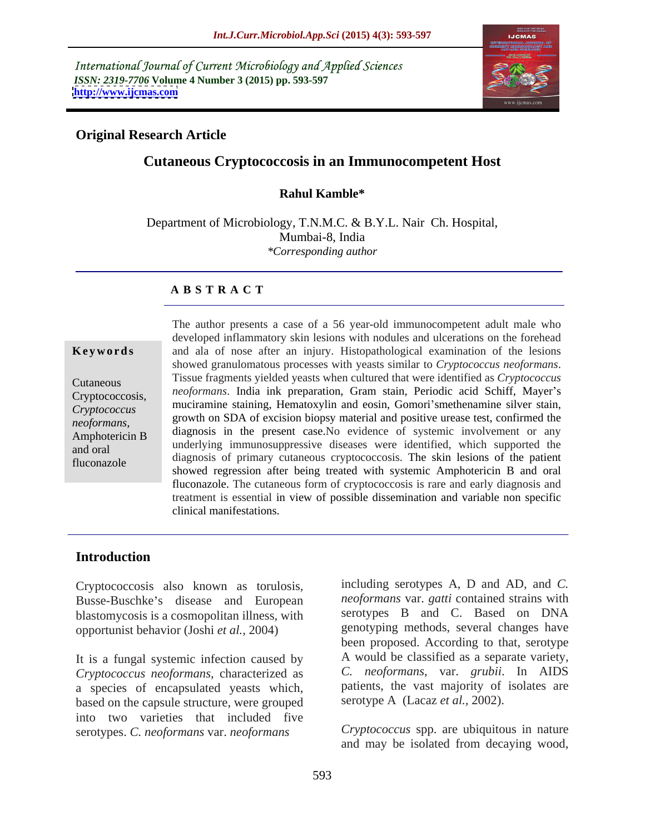International Journal of Current Microbiology and Applied Sciences *ISSN: 2319-7706* **Volume 4 Number 3 (2015) pp. 593-597 <http://www.ijcmas.com>**



### **Original Research Article**

# **Cutaneous Cryptococcosis in an Immunocompetent Host**

### **Rahul Kamble\***

Department of Microbiology, T.N.M.C. & B.Y.L. Nair Ch. Hospital, Mumbai-8, India *\*Corresponding author*

### **A B S T R A C T**

fluconazole

The author presents a case of a 56 year-old immunocompetent adult male who developed inflammatory skin lesions with nodules and ulcerations on the forehead **Keywords** and ala of nose after an injury. Histopathological examination of the lesions showed granulomatous processes with yeasts similar to *Cryptococcus neoformans*. Tissue fragments yielded yeasts when cultured that were identified as *Cryptococcus neoformans*. India ink preparation, Gram stain, Periodic acid Schiff, Mayer's muciramine staining, Hematoxylin and eosin, Gomori smethenamine silver stain, *Cryptococcus*  growth on SDA of excision biopsy material and positive urease test, confirmed the *neoformans,* Amphotericin B diagnosis in the present case. No evidence of systemic involvement or any underlying immunosuppressive diseases were identified, which supported the and oral diagnosis of primary cutaneous cryptococcosis. The skin lesions of the patient showed regression after being treated with systemic Amphotericin B and oral fluconazole. The cutaneous form of cryptococcosis is rare and early diagnosis and treatment is essential in view of possible dissemination and variable non specific clinical manifestations. Cryptococcosis, *heoformans* muia inx preparation, Grain stain, Periodic acid Schiff, Mayer's

### **Introduction**

Cryptococcosis also known as torulosis*,* Busse-Buschke's disease and European blastomycosis is a cosmopolitan illness, with opportunist behavior (Joshi *et al.,* 2004)

It is a fungal systemic infection caused by *Cryptococcus neoformans*, characterized as a species of encapsulated yeasts which, based on the capsule structure, were grouped into two varieties that included five serotypes. *C. neoformans* var. *neoformans*

including serotypes A, D and AD, and *C. neoformans* var. *gatti* contained strains with serotypes B and C. Based on DNA genotyping methods, several changes have been proposed. According to that, serotype A would be classified as a separate variety, *C. neoformans*, var. *grubii*. In AIDS patients, the vast majority of isolates are serotype A (Lacaz *et al.,* 2002).

*Cryptococcus* spp. are ubiquitous in nature and may be isolated from decaying wood,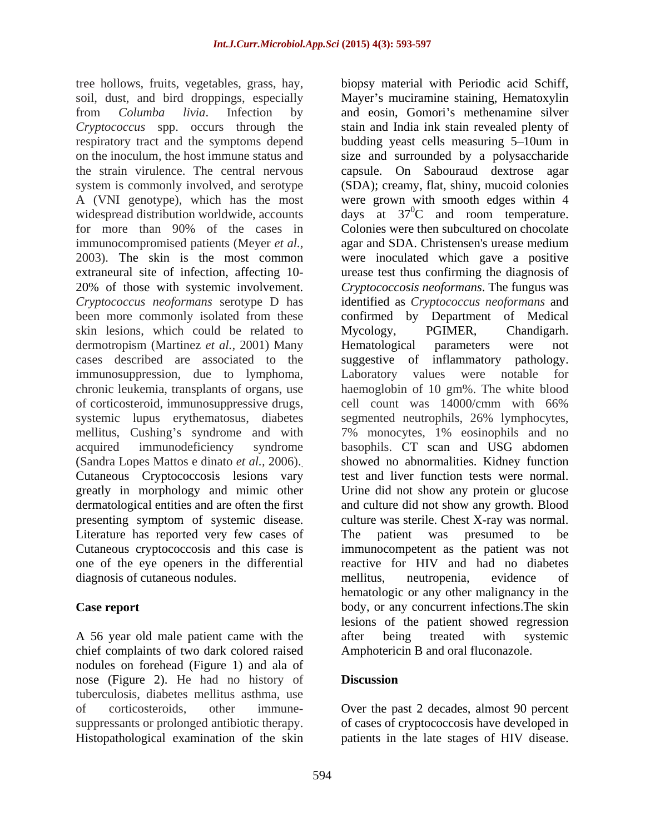tree hollows, fruits, vegetables, grass, hay, soil, dust, and bird droppings, especially *Cryptococcus* spp. occurs through the immunocompromised patients (Meyer *et al.,* skin lesions, which could be related to Mycology, PGIMER, Chandigarh. dermotropism (Martinez *et al.,* 2001) Many cases described are associated to the suggestive of inflammatory pathology. immunosuppression, due to lymphoma, of corticosteroid, immunosuppressive drugs, eell count was 14000/cmm with 66% (Sandra Lopes Mattos e dinato *et al.,* 2006).. greatly in morphology and mimic other Literature has reported very few cases of The patient was presumed to be Cutaneous cryptococcosis and this case is one of the eye openers in the differential diagnosis of cutaneous nodules. The metallitus, neutropenia, evidence of

A 56 year old male patient came with the after being treated with systemic chief complaints of two dark colored raised nodules on forehead (Figure 1) and ala of nose (Figure 2). He had no history of **Discussion** tuberculosis, diabetes mellitus asthma, use of corticosteroids, other immune- Over the past 2 decades, almost 90 percent

from *Columba livia*. Infection by and eosin, Gomori's methenamine silver respiratory tract and the symptoms depend budding yeast cells measuring 5–10um in on the inoculum, the host immune status and size and surrounded by a polysaccharide the strain virulence. The central nervous capsule. On Sabouraud dextrose agar system is commonly involved, and serotype (SDA); creamy, flat, shiny, mucoid colonies A (VNI genotype), which has the most were grown with smooth edges within 4 widespread distribution worldwide, accounts  $\qquad \qquad$  days at  $37^{\circ}$ C and room temperature. for more than 90% of the cases in Colonies were then subcultured on chocolate 2003). The skin is the most common were inoculated which gave a positive extraneural site of infection, affecting 10- urease test thus confirming the diagnosis of 20% of those with systemic involvement. *Cryptococcosis neoformans*. The fungus was *Cryptococcus neoformans* serotype D has identified as *Cryptococcus neoformans* and been more commonly isolated from these confirmed by Department of Medical chronic leukemia, transplants of organs, use haemoglobin of 10 gm%. The white blood systemic lupus erythematosus, diabetes segmented neutrophils, 26% lymphocytes, mellitus, Cushing's syndrome and with 7% monocytes, 1% eosinophils and no acquired immunodeficiency syndrome basophils. CT scan and USG abdomen Cutaneous Cryptococcosis lesions vary test and liver function tests were normal. dermatological entities and are often the first and culture did not show any growth. Blood presenting symptom of systemic disease. culture was sterile. Chest X-ray was normal. **Case report** body, or any concurrent infections.The skin biopsy material with Periodic acid Schiff, Mayer's muciramine staining, Hematoxylin stain and India ink stain revealed plenty of  ${}^{0}C$  and room temperature. Colonies were then subcultured on chocolate agar and SDA. Christensen's urease medium Mycology, PGIMER, Chandigarh. Hematological parameters were not suggestive of inflammatory Laboratory values were notable cell count was 14000/cmm with 66% showed no abnormalities. Kidney function Urine did not show any protein or glucose The patient was presumed to be immunocompetent as the patient was not reactive for HIV and had no diabetes mellitus, neutropenia, evidence of hematologic or any other malignancy in the lesions of the patient showed regression after being treated with systemic Amphotericin B and oral fluconazole.

## **Discussion**

suppressants or prolonged antibiotic therapy. <br>
Histopathological examination of the skin batients in the late stages of HIV disease. of cases of cryptococcosis have developed in patients in the late stages of HIV disease.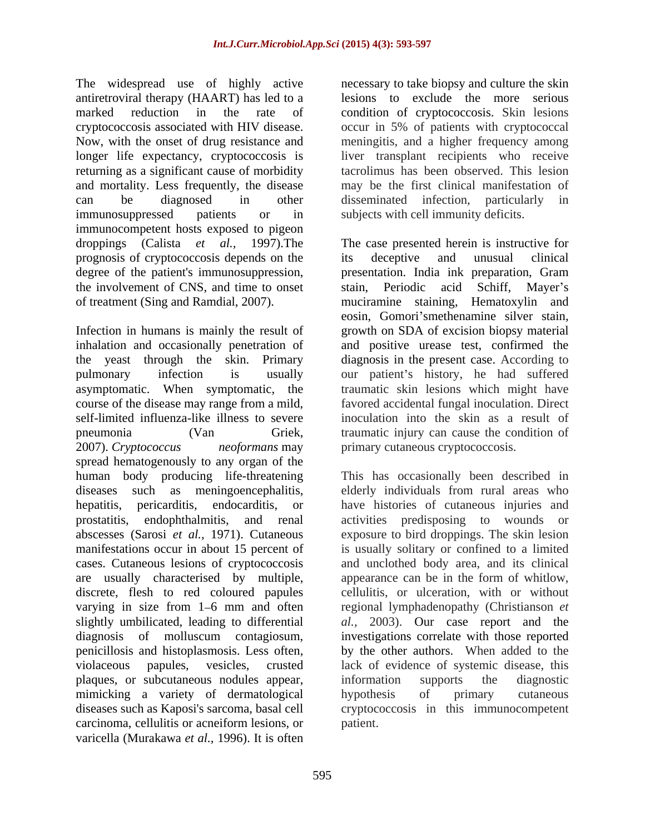The widespread use of highly active antiretroviral therapy (HAART) has led to a lesions to exclude the moreserious marked reduction in the rate of condition of cryptococcosis. Skin lesions cryptococcosis associated with HIV disease. occur in 5% of patients with cryptococcal Now, with the onset of drug resistance and longer life expectancy, cryptococcosis is returning as a significant cause of morbidity and mortality. Less frequently, the disease can be diagnosed in other disseminated infection, particularly in immunosuppressed patients or in subjects with cell immunity deficits. immunocompetent hosts exposed to pigeon prognosis of cryptococcosis depends on the

spread hematogenously to any organ of the are usually characterised by multiple, slightly umbilicated, leading to differential plaques, or subcutaneous nodules appear, mimicking a variety of dermatological bypothesis of primary cutaneous carcinoma, cellulitis or acneiform lesions, or varicella (Murakawa *et al.,* 1996). It is often

necessary to take biopsy and culture the skin meningitis, and a higher frequency among liver transplant recipients who receive tacrolimus has been observed. This lesion may be the first clinical manifestation of disseminated infection, particularly in

droppings (Calista *et al.,* 1997).The The case presented herein is instructive for degree of the patient's immunosuppression, presentation. India ink preparation, Gram<br>the involvement of CNS, and time to onset stain, Periodic acid Schiff, Mayer's of treatment (Sing and Ramdial, 2007). muciramine staining, Hematoxylin and Infection in humans is mainly the result of growth on SDA of excision biopsy material inhalation and occasionally penetration of and positive urease test, confirmed the the yeast through the skin. Primary diagnosis in the present case. According to pulmonary infection is usually our patient's history, he had suffered asymptomatic. When symptomatic, the traumatic skin lesions which might have course of the disease may range from a mild, favored accidental fungal inoculation. Direct self-limited influenza-like illness to severe inoculation into the skin as a result of pneumonia (Van Griek, traumatic injury can cause the condition of 2007). *Cryptococcus neoformans* may primary cutaneous cryptococcosis. its deceptive and unusual clinical presentation. India ink preparation, Gram stain, Periodic acid Schiff, Mayer's eosin, Gomori smethenamine silver stain,

human body producing life-threatening This has occasionally been described in diseases such as meningoencephalitis, elderly individuals from rural areas who hepatitis, pericarditis, endocarditis, or have histories of cutaneous injuries and prostatitis, endophthalmitis, and renal activities predisposing to wounds or abscesses (Sarosi *et al.,* 1971). Cutaneous exposure to bird droppings. The skin lesion manifestations occur in about 15 percent of is usually solitary or confined to a limited cases. Cutaneous lesions of cryptococcosis and unclothed body area, and its clinical discrete, flesh to red coloured papules cellulitis, or ulceration, with or without varying in size from 1–6 mm and often regional lymphadenopathy (Christianson *et* diagnosis of molluscum contagiosum, investigations correlate with those reported penicillosis and histoplasmosis. Less often, by the other authors. When added to the violaceous papules, vesicles, crusted lack of evidence of systemic disease, this diseases such as Kaposi's sarcoma, basal cell cryptococcosis in this immunocompetent appearance can be in the form of whitlow, *al.,* 2003). Our case report and the information supports the diagnostic hypothesis of primary cutaneous patient.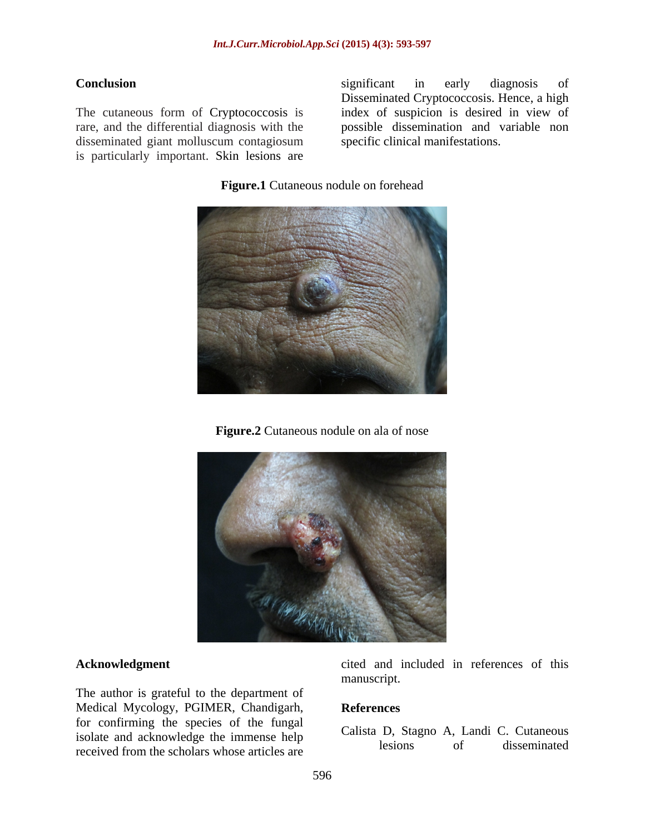disseminated giant molluscum contagiosum is particularly important. Skin lesions are

**Conclusion Conclusion Conclusion Conclusion Conclusion Conclusion Conclusion Conclusion Conclusion Conclusion Conclusion Conclusion Conclusion Conclusion Conclusion Conclusion Conclusion** The cutaneous form of Cryptococcosis is index of suspicion is desired in view of rare, and the differential diagnosis with the possible dissemination and variable non significant in early diagnosis of Disseminated Cryptococcosis. Hence, a high specific clinical manifestations.

**Figure.1** Cutaneous nodule on forehead







The author is grateful to the department of Medical Mycology, PGIMER, Chandigarh, for confirming the species of the fungal received from the scholars whose articles are

Acknowledgment **Contains a Container and included** in references of this manuscript.

### **References**

isolate and acknowledge the immense help<br>lesions of disseminated Calista D, Stagno A, Landi C. Cutaneous lesions of disseminated